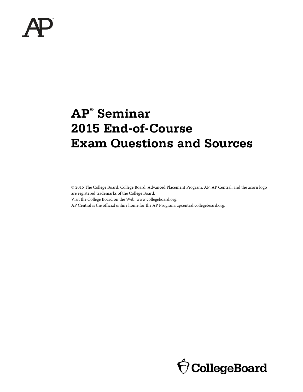# **AP® Seminar 2015 End-of-Course Exam Questions and Sources**

© 2015 The College Board. College Board, Advanced Placement Program, AP, AP Central, and the acorn logo are registered trademarks of the College Board.

Visit the College Board on the Web: [www.collegeboard.org.](www.collegeboard.org)

AP Central is the official online home for the AP Program: [apcentral.collegeboard.org.](apcentral.collegeboard.org)

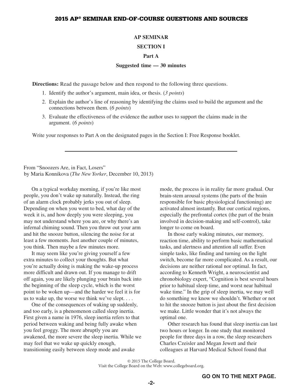## **AP SEMINAR**

## **SECTION I**

# **Part A**

# **Suggested time — 30 minutes**

**Directions:** Read the passage below and then respond to the following three questions.

- 1. Identify the author's argument, main idea, or thesis. (*3 points*)
- 2. Explain the author's line of reasoning by identifying the claims used to build the argument and the connections between them. (*6 points*)
- 3. Evaluate the effectiveness of the evidence the author uses to support the claims made in the argument. (*6 points*)

Write your responses to Part A on the designated pages in the Section I: Free Response booklet.

From "Snoozers Are, in Fact, Losers" by Maria Konnikova (*The New Yorker*, December 10, 2013)

On a typical workday morning, if you're like most people, you don't wake up naturally. Instead, the ring of an alarm clock probably jerks you out of sleep. Depending on when you went to bed, what day of the week it is, and how deeply you were sleeping, you may not understand where you are, or why there's an infernal chiming sound. Then you throw out your arm and hit the snooze button, silencing the noise for at least a few moments. Just another couple of minutes, you think. Then maybe a few minutes more.

It may seem like you're giving yourself a few extra minutes to collect your thoughts. But what you're actually doing is making the wake-up process more difficult and drawn out. If you manage to drift off again, you are likely plunging your brain back into the beginning of the sleep cycle, which is the worst point to be woken up—and the harder we feel it is for us to wake up, the worse we think we've slept....

One of the consequences of waking up suddenly, and too early, is a phenomenon called sleep inertia. First given a name in 1976, sleep inertia refers to that period between waking and being fully awake when you feel groggy. The more abruptly you are awakened, the more severe the sleep inertia. While we may feel that we wake up quickly enough, transitioning easily between sleep mode and awake

mode, the process is in reality far more gradual. Our brain-stem arousal systems (the parts of the brain responsible for basic physiological functioning) are activated almost instantly. But our cortical regions, especially the prefrontal cortex (the part of the brain involved in decision-making and self-control), take longer to come on board.

In those early waking minutes, our memory, reaction time, ability to perform basic mathematical tasks, and alertness and attention all suffer. Even simple tasks, like finding and turning on the light switch, become far more complicated. As a result, our decisions are neither rational nor optimal. In fact, according to Kenneth Wright, a neuroscientist and chronobiology expert, "Cognition is best several hours prior to habitual sleep time, and worst near habitual wake time." In the grip of sleep inertia, we may well do something we know we shouldn't. Whether or not to hit the snooze button is just about the first decision we make. Little wonder that it's not always the optimal one.

Other research has found that sleep inertia can last two hours or longer. In one study that monitored people for three days in a row, the sleep researchers Charles Czeisler and Megan Jewett and their colleagues at Harvard Medical School found that

**-2-**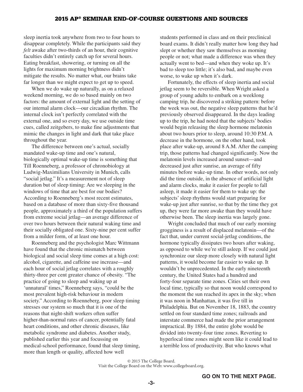sleep inertia took anywhere from two to four hours to disappear completely. While the participants said they *felt* awake after two-thirds of an hour, their cognitive faculties didn't entirely catch up for several hours. Eating breakfast, showering, or turning on all the lights for maximum morning brightness didn't mitigate the results. No matter what, our brains take far longer than we might expect to get up to speed.

When we do wake up naturally, as on a relaxed weekend morning, we do so based mainly on two factors: the amount of external light and the setting of our internal alarm clock—our circadian rhythm. The internal clock isn't perfectly correlated with the external one, and so every day, we use outside time cues, called zeitgebers, to make fine adjustments that mimic the changes in light and dark that take place throughout the year.

The difference between one's actual, socially mandated wake-up time and one's natural, biologically optimal wake-up time is something that Till Roenneberg, a professor of chronobiology at Ludwig-Maximilians University in Munich, calls "social jetlag." It's a measurement not of sleep duration but of sleep timing: Are we sleeping in the windows of time that are best for our bodies? According to Roenneberg's most recent estimates, based on a database of more than sixty-five thousand people, approximately a third of the population suffers from extreme social jetlag—an average difference of over two hours between their natural waking time and their socially obligated one. Sixty-nine per cent suffer from a milder form, of at least one hour.

Roenneberg and the psychologist Marc Wittmann have found that the chronic mismatch between biological and social sleep time comes at a high cost: alcohol, cigarette, and caffeine use increase—and each hour of social jetlag correlates with a roughly thirty-three per cent greater chance of obesity. "The practice of going to sleep and waking up at 'unnatural' times," Roenneberg says, "could be the most prevalent high-risk behaviour in modern society." According to Roenneberg, poor sleep timing stresses our system so much that it is one of the reasons that night-shift workers often suffer higher-than-normal rates of cancer, potentially fatal heart conditions, and other chronic diseases, like metabolic syndrome and diabetes. Another study, published earlier this year and focussing on medical-school performance, found that sleep timing, more than length or quality, affected how well

students performed in class and on their preclinical board exams. It didn't really matter how long they had slept or whether they saw themselves as morning people or not; what made a difference was when they actually went to bed—and when they woke up. It's bad to sleep too little; it's also bad, and maybe even worse, to wake up when it's dark.

Fortunately, the effects of sleep inertia and social jetlag seem to be reversible. When Wright asked a group of young adults to embark on a weeklong camping trip, he discovered a striking pattern: before the week was out, the negative sleep patterns that he'd previously observed disappeared. In the days leading up to the trip, he had noted that the subjects' bodies would begin releasing the sleep hormone melatonin about two hours prior to sleep, around 10:30 P.M. A decrease in the hormone, on the other hand, took place after wake-up, around 8 A.M. After the camping trip, those patterns had changed significantly. Now the melatonin levels increased around sunset—and decreased just after sunrise, an average of fifty minutes before wake-up time. In other words, not only did the time outside, in the absence of artificial light and alarm clocks, make it easier for people to fall asleep, it made it easier for them to wake up: the subjects' sleep rhythms would start preparing for wake-up just after sunrise, so that by the time they got up, they were far more awake than they would have otherwise been. The sleep inertia was largely gone.

Wright concluded that much of our early morning grogginess is a result of displaced melatonin—of the fact that, under current social-jetlag conditions, the hormone typically dissipates two hours after waking, as opposed to while we're still asleep. If we could just synchronize our sleep more closely with natural light patterns, it would become far easier to wake up. It wouldn't be unprecedented. In the early nineteenth century, the United States had a hundred and forty-four separate time zones. Cities set their own local time, typically so that noon would correspond to the moment the sun reached its apex in the sky; when it was noon in Manhattan, it was five till in Philadelphia. But on November 18, 1883, the country settled on four standard time zones; railroads and interstate commerce had made the prior arrangement impractical. By 1884, the entire globe would be divided into twenty-four time zones. Reverting to hyperlocal time zones might seem like it could lead to a terrible loss of productivity. But who knows what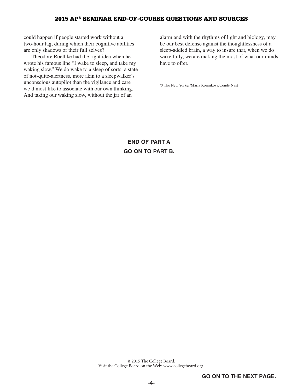could happen if people started work without a two-hour lag, during which their cognitive abilities are only shadows of their full selves?

Theodore Roethke had the right idea when he wrote his famous line "I wake to sleep, and take my waking slow." We do wake to a sleep of sorts: a state of not-quite-alertness, more akin to a sleepwalker's unconscious autopilot than the vigilance and care we'd most like to associate with our own thinking. And taking our waking slow, without the jar of an

alarm and with the rhythms of light and biology, may be our best defense against the thoughtlessness of a sleep-addled brain, a way to insure that, when we do wake fully, we are making the most of what our minds have to offer.

© The New Yorker/Maria Konnikova/Condé Nast

# **END OF PART A GO ON TO PART B.**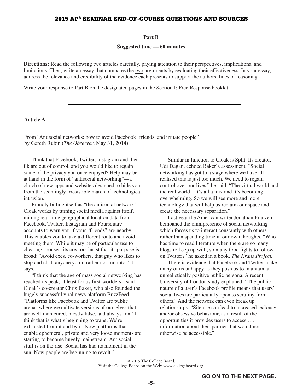#### **Part B**

**Suggested time — 60 minutes** 

**Directions:** Read the following two articles carefully, paying attention to their perspectives, implications, and limitations. Then, write an essay that compares the two arguments by evaluating their effectiveness. In your essay, address the relevance and credibility of the evidence each presents to support the authors' lines of reasoning.

Write your response to Part B on the designated pages in the Section I: Free Response booklet.

# **Article A**

From "Antisocial networks: how to avoid Facebook 'friends' and irritate people" by Gareth Rubin (*The Observer*, May 31, 2014)

Think that Facebook, Twitter, Instagram and their ilk are out of control, and you would like to regain some of the privacy you once enjoyed? Help may be at hand in the form of "antisocial networking"—a clutch of new apps and websites designed to hide you from the seemingly irresistible march of technological intrusion.

Proudly billing itself as "the antisocial network," Cloak works by turning social media against itself, mining real-time geographical location data from Facebook, Twitter, Instagram and Foursquare accounts to warn you if your "friends" are nearby. This enables you to take a different route and avoid meeting them. While it may be of particular use to cheating spouses, its creators insist that its purpose is broad: "Avoid exes, co-workers, that guy who likes to stop and chat, anyone you'd rather not run into," it says.

"I think that the age of mass social networking has reached its peak, at least for us first-worlders," said Cloak's co-creator Chris Baker, who also founded the hugely successful viral news platform BuzzFeed. "Platforms like Facebook and Twitter are public arenas where we cultivate versions of ourselves that are well-manicured, mostly false, and always 'on.' I think that is what's beginning to wane. We're exhausted from it and by it. Now platforms that enable ephemeral, private and very loose moments are starting to become hugely mainstream. Antisocial stuff is on the rise. Social has had its moment in the sun. Now people are beginning to revolt."

Similar in function to Cloak is Split. Its creator, Udi Dagan, echoed Baker's assessment. "Social networking has got to a stage where we have all realised this is just too much. We need to regain control over our lives," he said. "The virtual world and the real world—it's all a mix and it's becoming overwhelming. So we will see more and more technology that will help us reclaim our space and create the necessary separation."

Last year the American writer Jonathan Franzen bemoaned the omnipresence of social networking which forces us to interact constantly with others, rather than spending time in our own thoughts. "Who has time to read literature when there are so many blogs to keep up with, so many food fights to follow on Twitter?" he asked in a book, *The Kraus Project.* 

There is evidence that Facebook and Twitter make many of us unhappy as they push us to maintain an unrealistically positive public persona. A recent University of London study explained: "The public nature of a user's Facebook profile means that users' social lives are particularly open to scrutiny from others." And the network can even break up relationships: "Site use can lead to increased jealousy and/or obsessive behaviour, as a result of the opportunities it provides users to access... information about their partner that would not otherwise be accessible."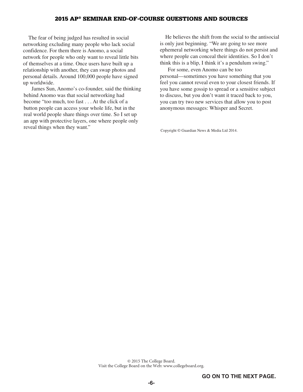The fear of being judged has resulted in social networking excluding many people who lack social confidence. For them there is Anomo, a social network for people who only want to reveal little bits of themselves at a time. Once users have built up a relationship with another, they can swap photos and personal details. Around 100,000 people have signed up worldwide.

James Sun, Anomo's co-founder, said the thinking behind Anomo was that social networking had become "too much, too fast . . . At the click of a button people can access your whole life, but in the real world people share things over time. So I set up an app with protective layers, one where people only reveal things when they want."

He believes the shift from the social to the antisocial is only just beginning. "We are going to see more ephemeral networking where things do not persist and where people can conceal their identities. So I don't think this is a blip, I think it's a pendulum swing."

For some, even Anomo can be too personal—sometimes you have something that you feel you cannot reveal even to your closest friends. If you have some gossip to spread or a sensitive subject to discuss, but you don't want it traced back to you, you can try two new services that allow you to post anonymous messages: Whisper and Secret.

Copyright © Guardian News & Media Ltd 2014.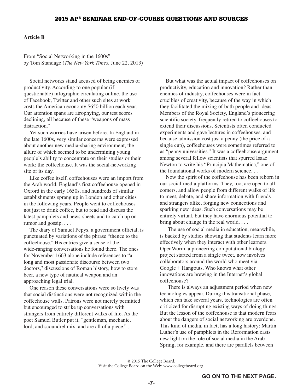#### **Article B**

From "Social Networking in the 1600s" by Tom Standage (*The New York Times*, June 22, 2013)

Social networks stand accused of being enemies of productivity. According to one popular (if questionable) infographic circulating online, the use of Facebook, Twitter and other such sites at work costs the American economy \$650 billion each year. Our attention spans are atrophying, our test scores declining, all because of these "weapons of mass distraction."

Yet such worries have arisen before. In England in the late 1600s, very similar concerns were expressed about another new media-sharing environment, the allure of which seemed to be undermining young people's ability to concentrate on their studies or their work: the coffeehouse. It was the social-networking site of its day.

Like coffee itself, coffeehouses were an import from the Arab world. England's first coffeehouse opened in Oxford in the early 1650s, and hundreds of similar establishments sprang up in London and other cities in the following years. People went to coffeehouses not just to drink coffee, but to read and discuss the latest pamphlets and news-sheets and to catch up on rumor and gossip....

The diary of Samuel Pepys, a government official, is punctuated by variations of the phrase "thence to the coffeehouse." His entries give a sense of the wide-ranging conversations he found there. The ones for November 1663 alone include references to "a long and most passionate discourse between two doctors," discussions of Roman history, how to store beer, a new type of nautical weapon and an approaching legal trial.

One reason these conversations were so lively was that social distinctions were not recognized within the coffeehouse walls. Patrons were not merely permitted but encouraged to strike up conversations with strangers from entirely different walks of life. As the poet Samuel Butler put it, "gentleman, mechanic, lord, and scoundrel mix, and are all of a piece."...

But what was the actual impact of coffeehouses on productivity, education and innovation? Rather than enemies of industry, coffeehouses were in fact crucibles of creativity, because of the way in which they facilitated the mixing of both people and ideas. Members of the Royal Society, England's pioneering scientific society, frequently retired to coffeehouses to extend their discussions. Scientists often conducted experiments and gave lectures in coffeehouses, and because admission cost just a penny (the price of a single cup), coffeehouses were sometimes referred to as "penny universities." It was a coffeehouse argument among several fellow scientists that spurred Isaac Newton to write his "Principia Mathematica," one of the foundational works of modern science....

Now the spirit of the coffeehouse has been reborn in our social-media platforms. They, too, are open to all comers, and allow people from different walks of life to meet, debate, and share information with friends and strangers alike, forging new connections and sparking new ideas. Such conversations may be entirely virtual, but they have enormous potential to bring about change in the real world....

The use of social media in education, meanwhile, is backed by studies showing that students learn more effectively when they interact with other learners. OpenWorm, a pioneering computational biology project started from a single tweet, now involves collaborators around the world who meet via Google + Hangouts. Who knows what other innovations are brewing in the Internet's global coffeehouse?

There is always an adjustment period when new technologies appear. During this transitional phase, which can take several years, technologies are often criticized for disrupting existing ways of doing things. But the lesson of the coffeehouse is that modern fears about the dangers of social networking are overdone. This kind of media, in fact, has a long history: Martin Luther's use of pamphlets in the Reformation casts new light on the role of social media in the Arab Spring, for example, and there are parallels between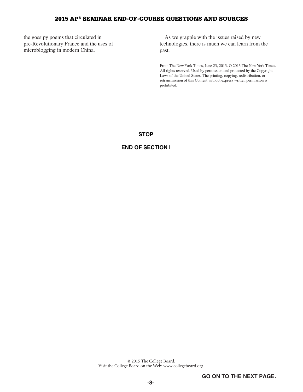the gossipy poems that circulated in pre-Revolutionary France and the uses of microblogging in modern China.

As we grapple with the issues raised by new technologies, there is much we can learn from the past.

From The New York Times, June 23, 2013. © 2013 The New York Times. All rights reserved. Used by permission and protected by the Copyright Laws of the United States. The printing, copying, redistribution, or retransmission of this Content without express written permission is prohibited.

**STOP** 

**END OF SECTION I**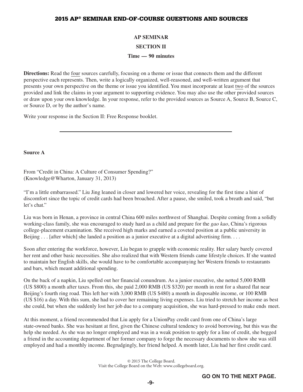# **AP SEMINAR**

**SECTION II** 

**Time — 90 minutes** 

**Directions:** Read the four sources carefully, focusing on a theme or issue that connects them and the different perspective each represents. Then, write a logically organized, well-reasoned, and well-written argument that presents your own perspective on the theme or issue you identified. You must incorporate at least two of the sources provided and link the claims in your argument to supporting evidence. You may also use the other provided sources or draw upon your own knowledge. In your response, refer to the provided sources as Source A, Source B, Source C, or Source D, or by the author's name.

Write your response in the Section II: Free Response booklet.

**Source A** 

From "Credit in China: A Culture of Consumer Spending?" (Knowledge@Wharton, January 31, 2013)

"I'm a little embarrassed." Liu Jing leaned in closer and lowered her voice, revealing for the first time a hint of discomfort since the topic of credit cards had been broached. After a pause, she smiled, took a breath and said, "but let's chat."

Liu was born in Henan, a province in central China 600 miles northwest of Shanghai. Despite coming from a solidly working-class family, she was encouraged to study hard as a child and prepare for the *gao kao*, China's rigorous college-placement examination. She received high marks and earned a coveted position at a public university in Beijing  $\ldots$  [after which] she landed a position as a junior executive at a digital advertising firm.  $\ldots$ 

Soon after entering the workforce, however, Liu began to grapple with economic reality. Her salary barely covered her rent and other basic necessities. She also realized that with Western friends came lifestyle choices. If she wanted to maintain her English skills, she would have to be comfortable accompanying her Western friends to restaurants and bars, which meant additional spending.

On the back of a napkin, Liu spelled out her financial conundrum. As a junior executive, she netted 5,000 RMB (US \$800) a month after taxes. From this, she paid 2,000 RMB (US \$320) per month in rent for a shared flat near Beijing's fourth ring road. This left her with 3,000 RMB (US \$480) a month in disposable income, or 100 RMB (US \$16) a day. With this sum, she had to cover her remaining living expenses. Liu tried to stretch her income as best she could, but when she suddenly lost her job due to a company acquisition, she was hard-pressed to make ends meet.

At this moment, a friend recommended that Liu apply for a UnionPay credit card from one of China's large state-owned banks. She was hesitant at first, given the Chinese cultural tendency to avoid borrowing, but this was the help she needed. As she was no longer employed and was in a weak position to apply for a line of credit, she begged a friend in the accounting department of her former company to forge the necessary documents to show she was still employed and had a monthly income. Begrudgingly, her friend helped. A month later, Liu had her first credit card.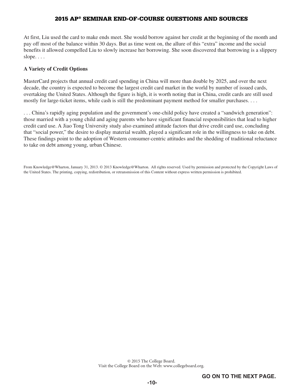At first, Liu used the card to make ends meet. She would borrow against her credit at the beginning of the month and pay off most of the balance within 30 days. But as time went on, the allure of this "extra" income and the social benefits it allowed compelled Liu to slowly increase her borrowing. She soon discovered that borrowing is a slippery slope....

## **A Variety of Credit Options**

MasterCard projects that annual credit card spending in China will more than double by 2025, and over the next decade, the country is expected to become the largest credit card market in the world by number of issued cards, overtaking the United States. Although the figure is high, it is worth noting that in China, credit cards are still used mostly for large-ticket items, while cash is still the predominant payment method for smaller purchases....

. . . China's rapidly aging population and the government's one-child policy have created a "sandwich generation": those married with a young child and aging parents who have significant financial responsibilities that lead to higher credit card use. A Jiao Tong University study also examined attitude factors that drive credit card use, concluding that "social power," the desire to display material wealth, played a significant role in the willingness to take on debt. These findings point to the adoption of Western consumer-centric attitudes and the shedding of traditional reluctance to take on debt among young, urban Chinese.

From Knowledge@Wharton, January 31, 2013. © 2013 Knowledge@Wharton. All rights reserved. Used by permission and protected by the Copyright Laws of the United States. The printing, copying, redistribution, or retransmission of this Content without express written permission is prohibited.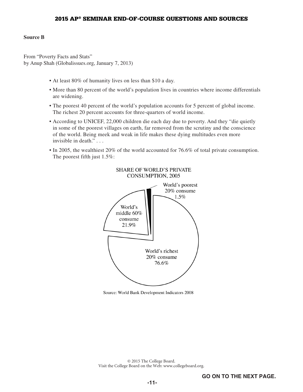#### **Source B**

From "Poverty Facts and Stats" by Anup Shah (Globalissues.org, January 7, 2013)

- At least 80% of humanity lives on less than \$10 a day.
- More than 80 percent of the world's population lives in countries where income differentials are widening.
- The poorest 40 percent of the world's population accounts for 5 percent of global income. The richest 20 percent accounts for three-quarters of world income.
- According to UNICEF, 22,000 children die each day due to poverty. And they "die quietly in some of the poorest villages on earth, far removed from the scrutiny and the conscience of the world. Being meek and weak in life makes these dying multitudes even more invisible in death."...
- In 2005, the wealthiest 20% of the world accounted for 76.6% of total private consumption. The poorest fifth just 1.5%:

**SHARE OF WORLD'S PRIVATE** 



Source: World Bank Development Indicators 2008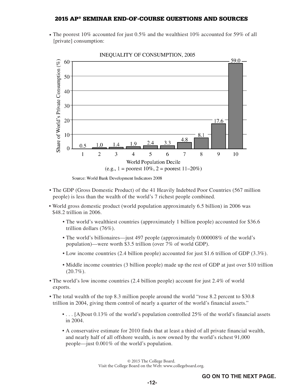• The poorest 10% accounted for just 0.5% and the wealthiest 10% accounted for 59% of all [private] consumption:



INEQUALITY OF CONSUMPTION, 2005

Source: World Bank Development Indicators 2008

- The GDP (Gross Domestic Product) of the 41 Heavily Indebted Poor Countries (567 million people) is less than the wealth of the world's 7 richest people combined.
- World gross domestic product (world population approximately 6.5 billion) in 2006 was \$48.2 trillion in 2006.
	- The world's wealthiest countries (approximately 1 billion people) accounted for \$36.6 trillion dollars (76%).
	- The world's billionaires—just 497 people (approximately 0.000008% of the world's population)—were worth \$3.5 trillion (over 7% of world GDP).
	- Low income countries (2.4 billion people) accounted for just \$1.6 trillion of GDP (3.3%).
	- Middle income countries (3 billion people) made up the rest of GDP at just over \$10 trillion  $(20.7\%)$ .
- The world's low income countries (2.4 billion people) account for just 2.4% of world exports.
- The total wealth of the top 8.3 million people around the world "rose 8.2 percent to \$30.8" trillion in 2004, giving them control of nearly a quarter of the world's financial assets."
	- •... [A]bout 0.13% of the world's population controlled 25% of the world's financial assets in 2004.
	- A conservative estimate for 2010 finds that at least a third of all private financial wealth, and nearly half of all offshore wealth, is now owned by the world's richest 91,000 people—just 0.001% of the world's population.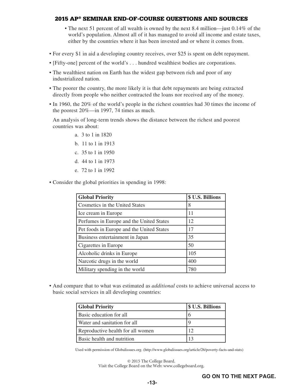- The next 51 percent of all wealth is owned by the next 8.4 million—just 0.14% of the world's population. Almost all of it has managed to avoid all income and estate taxes, either by the countries where it has been invested and or where it comes from.
- For every \$1 in aid a developing country receives, over \$25 is spent on debt repayment.
- [Fifty-one] percent of the world's... hundred wealthiest bodies are corporations.
- The wealthiest nation on Earth has the widest gap between rich and poor of any industrialized nation.
- The poorer the country, the more likely it is that debt repayments are being extracted directly from people who neither contracted the loans nor received any of the money.
- In 1960, the 20% of the world's people in the richest countries had 30 times the income of the poorest 20%—in 1997, 74 times as much.

An analysis of long-term trends shows the distance between the richest and poorest countries was about:

- a. 3 to 1 in 1820
- b. 11 to 1 in 1913
- c. 35 to 1 in 1950
- d. 44 to 1 in 1973
- e. 72 to 1 in 1992

• Consider the global priorities in spending in 1998:

| <b>Global Priority</b>                    | \$ U.S. Billions |
|-------------------------------------------|------------------|
| Cosmetics in the United States            | 8                |
| Ice cream in Europe                       | 11               |
| Perfumes in Europe and the United States  | 12               |
| Pet foods in Europe and the United States | 17               |
| Business entertainment in Japan           | 35               |
| Cigarettes in Europe                      | 50               |
| Alcoholic drinks in Europe                | 105              |
| Narcotic drugs in the world               | 400              |
| Military spending in the world            | 780              |

• And compare that to what was estimated as *additional* costs to achieve universal access to basic social services in all developing countries:

| <b>Global Priority</b>            | \$ U.S. Billions |
|-----------------------------------|------------------|
| Basic education for all           |                  |
| Water and sanitation for all      |                  |
| Reproductive health for all women |                  |
| Basic health and nutrition        |                  |

Used with permission of Globalissues.org. (<http://www.globalissues.org/article/26/poverty-facts-and-stats>)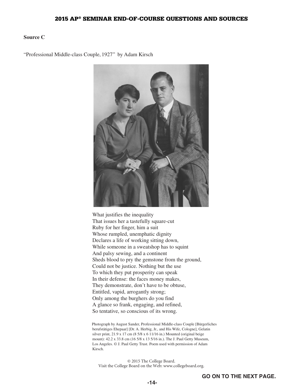## **Source C**

"Professional Middle-class Couple, 1927" by Adam Kirsch



What justifies the inequality That issues her a tastefully square-cut Ruby for her finger, him a suit Whose rumpled, unemphatic dignity Declares a life of working sitting down, While someone in a sweatshop has to squint And palsy sewing, and a continent Sheds blood to pry the gemstone from the ground, Could not be justice. Nothing but the use To which they put prosperity can speak In their defense: the faces money makes, They demonstrate, don't have to be obtuse, Entitled, vapid, arrogantly strong; Only among the burghers do you find A glance so frank, engaging, and refined, So tentative, so conscious of its wrong.

Photograph by August Sander, Professional Middle-class Couple [Bürgerliches berufstätiges Ehepaar] [Dr. A. Herbig, Jr., and His Wife, Cologne], Gelatin silver print, 21.9 x 17 cm (8 5/8 x 6 11/16 in.) Mounted (original beige mount): 42.2 x 33.8 cm (16 5/8 x 13 5/16 in.). The J. Paul Getty Museum, Los Angeles. © J. Paul Getty Trust. Poem used with permission of Adam Kirsch.